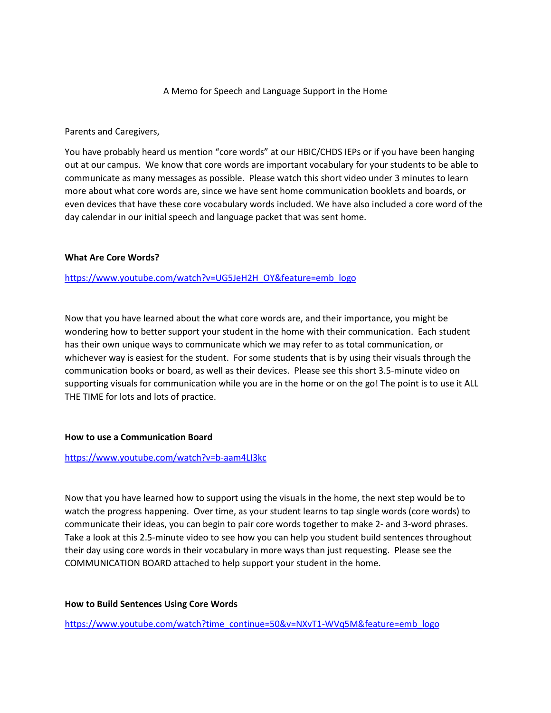# A Memo for Speech and Language Support in the Home

Parents and Caregivers,

You have probably heard us mention "core words" at our HBIC/CHDS IEPs or if you have been hanging out at our campus. We know that core words are important vocabulary for your students to be able to communicate as many messages as possible. Please watch this short video under 3 minutes to learn more about what core words are, since we have sent home communication booklets and boards, or even devices that have these core vocabulary words included. We have also included a core word of the day calendar in our initial speech and language packet that was sent home.

## **What Are Core Words?**

# [https://www.youtube.com/watch?v=UG5JeH2H\\_OY&feature=emb\\_logo](https://www.youtube.com/watch?v=UG5JeH2H_OY&feature=emb_logo)

Now that you have learned about the what core words are, and their importance, you might be wondering how to better support your student in the home with their communication. Each student has their own unique ways to communicate which we may refer to as total communication, or whichever way is easiest for the student. For some students that is by using their visuals through the communication books or board, as well as their devices. Please see this short 3.5-minute video on supporting visuals for communication while you are in the home or on the go! The point is to use it ALL THE TIME for lots and lots of practice.

## **How to use a Communication Board**

## <https://www.youtube.com/watch?v=b-aam4LI3kc>

Now that you have learned how to support using the visuals in the home, the next step would be to watch the progress happening. Over time, as your student learns to tap single words (core words) to communicate their ideas, you can begin to pair core words together to make 2- and 3-word phrases. Take a look at this 2.5-minute video to see how you can help you student build sentences throughout their day using core words in their vocabulary in more ways than just requesting. Please see the COMMUNICATION BOARD attached to help support your student in the home.

## **How to Build Sentences Using Core Words**

[https://www.youtube.com/watch?time\\_continue=50&v=NXvT1-WVq5M&feature=emb\\_logo](https://www.youtube.com/watch?time_continue=50&v=NXvT1-WVq5M&feature=emb_logo)